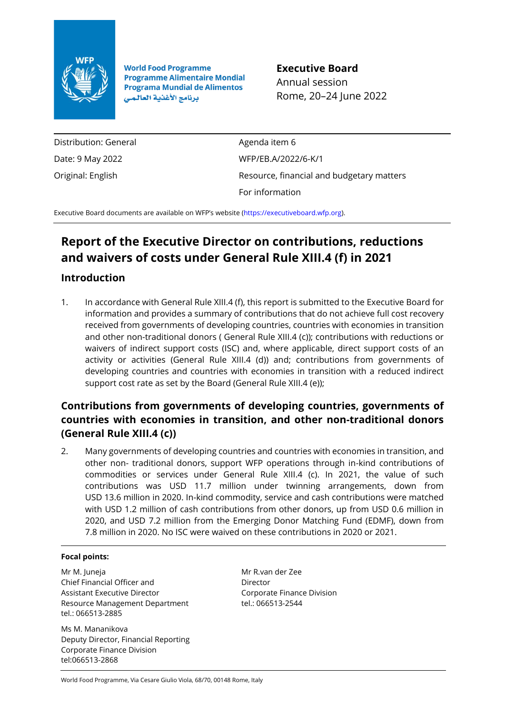

**World Food Programme Programme Alimentaire Mondial Programa Mundial de Alimentos** برنامج الأغذية العالمي

**Executive Board** Annual session Rome, 20–24 June 2022

Distribution: General Date: 9 May 2022 Original: English

Agenda item 6 WFP/EB.A/2022/6-K/1 Resource, financial and budgetary matters For information

Executive Board documents are available on WFP's website [\(https://executiveboard.wfp.org\)](https://executiveboard.wfp.org/).

### **Report of the Executive Director on contributions, reductions and waivers of costs under General Rule XIII.4 (f) in 2021**

#### **Introduction**

1. In accordance with General Rule XIII.4 (f), this report is submitted to the Executive Board for information and provides a summary of contributions that do not achieve full cost recovery received from governments of developing countries, countries with economies in transition and other non-traditional donors ( General Rule XIII.4 (c)); contributions with reductions or waivers of indirect support costs (ISC) and, where applicable, direct support costs of an activity or activities (General Rule XIII.4 (d)) and; contributions from governments of developing countries and countries with economies in transition with a reduced indirect support cost rate as set by the Board (General Rule XIII.4 (e));

### **Contributions from governments of developing countries, governments of countries with economies in transition, and other non-traditional donors (General Rule XIII.4 (c))**

2. Many governments of developing countries and countries with economies in transition, and other non- traditional donors, support WFP operations through in-kind contributions of commodities or services under General Rule XIII.4 (c). In 2021, the value of such contributions was USD 11.7 million under twinning arrangements, down from USD 13.6 million in 2020. In-kind commodity, service and cash contributions were matched with USD 1.2 million of cash contributions from other donors, up from USD 0.6 million in 2020, and USD 7.2 million from the Emerging Donor Matching Fund (EDMF), down from 7.8 million in 2020. No ISC were waived on these contributions in 2020 or 2021.

#### **Focal points:**

Mr M. Juneja Chief Financial Officer and Assistant Executive Director Resource Management Department tel.: 066513-2885

Ms M. Mananikova Deputy Director, Financial Reporting Corporate Finance Division [tel:066513-2](tel:066513-XX)868

Mr R.van der Zee Director Corporate Finance Division tel.: 066513-2544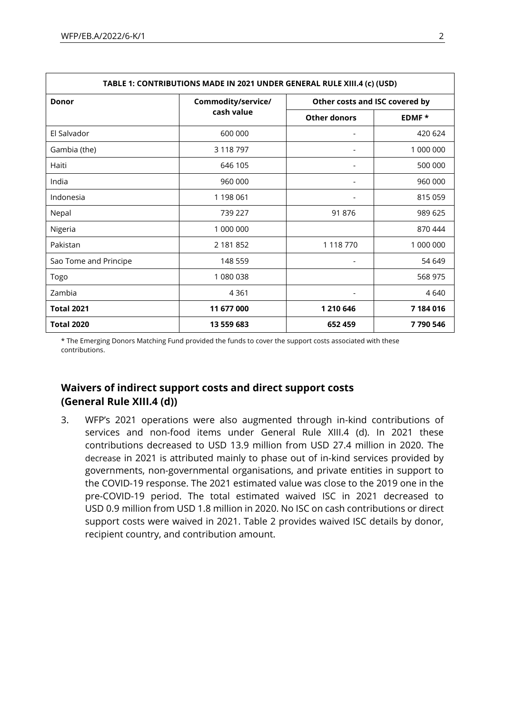| TABLE 1: CONTRIBUTIONS MADE IN 2021 UNDER GENERAL RULE XIII.4 (c) (USD) |            |                                |           |
|-------------------------------------------------------------------------|------------|--------------------------------|-----------|
| Commodity/service/<br><b>Donor</b><br>cash value                        |            | Other costs and ISC covered by |           |
|                                                                         |            | <b>Other donors</b>            | EDMF*     |
| El Salvador                                                             | 600 000    |                                | 420 624   |
| Gambia (the)                                                            | 3 118 797  |                                | 1 000 000 |
| Haiti                                                                   | 646 105    | $\overline{\phantom{a}}$       | 500 000   |
| India                                                                   | 960 000    |                                | 960 000   |
| Indonesia                                                               | 1 198 061  |                                | 815 059   |
| Nepal                                                                   | 739 227    | 91 876                         | 989 625   |
| Nigeria                                                                 | 1 000 000  |                                | 870 444   |
| Pakistan                                                                | 2 181 852  | 1 118 770                      | 1 000 000 |
| Sao Tome and Principe                                                   | 148 559    |                                | 54 649    |
| Togo                                                                    | 1 080 038  |                                | 568 975   |
| Zambia                                                                  | 4 3 6 1    |                                | 4640      |
| <b>Total 2021</b>                                                       | 11 677 000 | 1 210 646                      | 7 184 016 |
| <b>Total 2020</b>                                                       | 13 559 683 | 652 459                        | 7790546   |

\* The Emerging Donors Matching Fund provided the funds to cover the support costs associated with these contributions.

#### **Waivers of indirect support costs and direct support costs (General Rule XIII.4 (d))**

3. WFP's 2021 operations were also augmented through in-kind contributions of services and non-food items under General Rule XIII.4 (d). In 2021 these contributions decreased to USD 13.9 million from USD 27.4 million in 2020. The decrease in 2021 is attributed mainly to phase out of in-kind services provided by governments, non-governmental organisations, and private entities in support to the COVID-19 response. The 2021 estimated value was close to the 2019 one in the pre-COVID-19 period. The total estimated waived ISC in 2021 decreased to USD 0.9 million from USD 1.8 million in 2020. No ISC on cash contributions or direct support costs were waived in 2021. Table 2 provides waived ISC details by donor, recipient country, and contribution amount.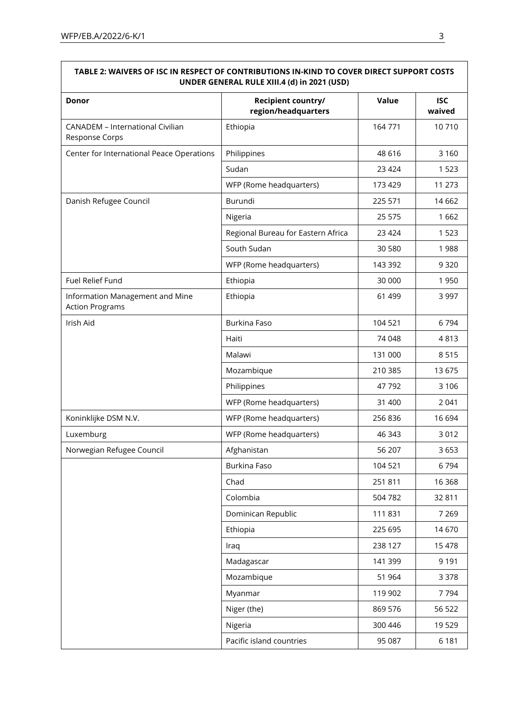| UNDER GENERAL RULE XIII.4 (d) in 2021 (USD)               |                                           |         |                      |
|-----------------------------------------------------------|-------------------------------------------|---------|----------------------|
| Donor                                                     | Recipient country/<br>region/headquarters | Value   | <b>ISC</b><br>waived |
| <b>CANADEM - International Civilian</b><br>Response Corps | Ethiopia                                  | 164771  | 10710                |
| Center for International Peace Operations                 | Philippines                               | 48 616  | 3 1 6 0              |
|                                                           | Sudan                                     | 23 4 24 | 1 5 2 3              |
|                                                           | WFP (Rome headquarters)                   | 173 429 | 11 273               |
| Danish Refugee Council                                    | Burundi                                   | 225 571 | 14 6 62              |
|                                                           | Nigeria                                   | 25 575  | 1662                 |
|                                                           | Regional Bureau for Eastern Africa        | 23 4 24 | 1523                 |
|                                                           | South Sudan                               | 30 580  | 1988                 |
|                                                           | WFP (Rome headquarters)                   | 143 392 | 9 3 2 0              |
| Fuel Relief Fund                                          | Ethiopia                                  | 30 000  | 1950                 |
| Information Management and Mine<br><b>Action Programs</b> | Ethiopia                                  | 61 499  | 3 9 9 7              |
| Irish Aid                                                 | <b>Burkina Faso</b>                       | 104 521 | 6794                 |
|                                                           | Haiti                                     | 74 048  | 4813                 |
|                                                           | Malawi                                    | 131 000 | 8515                 |
|                                                           | Mozambique                                | 210 385 | 13 675               |
|                                                           | Philippines                               | 47 792  | 3 1 0 6              |
|                                                           | WFP (Rome headquarters)                   | 31 400  | 2 0 4 1              |
| Koninklijke DSM N.V.                                      | WFP (Rome headquarters)                   | 256 836 | 16 694               |
| Luxemburg                                                 | WFP (Rome headquarters)                   | 46 343  | 3012                 |
| Norwegian Refugee Council                                 | Afghanistan                               | 56 207  | 3653                 |
|                                                           | Burkina Faso                              | 104 521 | 6794                 |
|                                                           | Chad                                      | 251811  | 16 3 68              |
|                                                           | Colombia                                  | 504 782 | 32 811               |
|                                                           | Dominican Republic                        | 111 831 | 7 2 6 9              |
|                                                           | Ethiopia                                  | 225 695 | 14 670               |
|                                                           | Iraq                                      | 238 127 | 15 4 78              |
|                                                           | Madagascar                                | 141 399 | 9 1 9 1              |
|                                                           | Mozambique                                | 51 964  | 3 3 7 8              |
|                                                           | Myanmar                                   | 119 902 | 7794                 |
|                                                           | Niger (the)                               | 869 576 | 56 522               |
|                                                           | Nigeria                                   | 300 446 | 19529                |
|                                                           | Pacific island countries                  | 95 087  | 6 1 8 1              |

# **TABLE 2: WAIVERS OF ISC IN RESPECT OF CONTRIBUTIONS IN-KIND TO COVER DIRECT SUPPORT COSTS**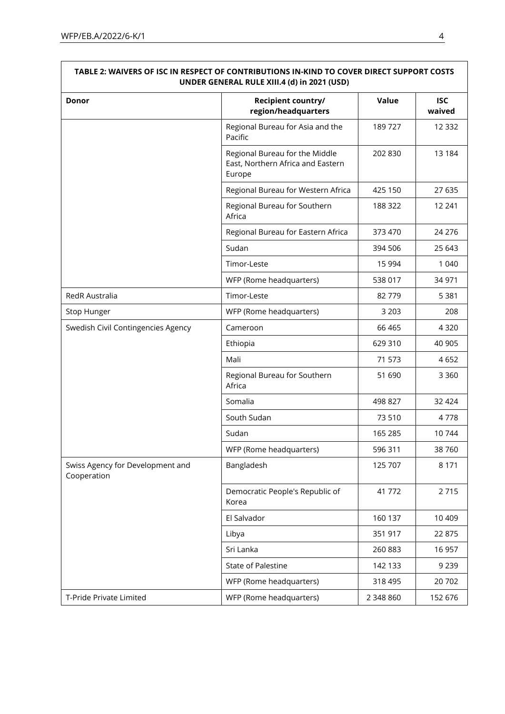| UNDER GENERAL RULE XIII.4 (d) in 2021 (USD)     |                                                                               |           |                      |  |
|-------------------------------------------------|-------------------------------------------------------------------------------|-----------|----------------------|--|
| Donor                                           | Recipient country/<br>region/headquarters                                     | Value     | <b>ISC</b><br>waived |  |
|                                                 | Regional Bureau for Asia and the<br>Pacific                                   | 189727    | 12 3 32              |  |
|                                                 | Regional Bureau for the Middle<br>East, Northern Africa and Eastern<br>Europe | 202 830   | 13 184               |  |
|                                                 | Regional Bureau for Western Africa                                            | 425 150   | 27 635               |  |
|                                                 | Regional Bureau for Southern<br>Africa                                        | 188 322   | 12 241               |  |
|                                                 | Regional Bureau for Eastern Africa                                            | 373 470   | 24 276               |  |
|                                                 | Sudan                                                                         | 394 506   | 25 643               |  |
|                                                 | Timor-Leste                                                                   | 15 9 94   | 1 0 4 0              |  |
|                                                 | WFP (Rome headquarters)                                                       | 538 017   | 34 971               |  |
| RedR Australia                                  | Timor-Leste                                                                   | 82779     | 5 3 8 1              |  |
| Stop Hunger                                     | WFP (Rome headquarters)                                                       | 3 2 0 3   | 208                  |  |
| Swedish Civil Contingencies Agency              | Cameroon                                                                      | 66 4 65   | 4 3 2 0              |  |
|                                                 | Ethiopia                                                                      | 629 310   | 40 905               |  |
|                                                 | Mali                                                                          | 71 573    | 4652                 |  |
|                                                 | Regional Bureau for Southern<br>Africa                                        | 51 690    | 3 3 6 0              |  |
|                                                 | Somalia                                                                       | 498 827   | 32 4 24              |  |
|                                                 | South Sudan                                                                   | 73 510    | 4778                 |  |
|                                                 | Sudan                                                                         | 165 285   | 10744                |  |
|                                                 | WFP (Rome headquarters)                                                       | 596 311   | 38 760               |  |
| Swiss Agency for Development and<br>Cooperation | Bangladesh                                                                    | 125 707   | 8 1 7 1              |  |
|                                                 | Democratic People's Republic of<br>Korea                                      | 41 772    | 2715                 |  |
|                                                 | El Salvador                                                                   | 160 137   | 10 409               |  |
|                                                 | Libya                                                                         | 351 917   | 22 875               |  |
|                                                 | Sri Lanka                                                                     | 260 883   | 16 957               |  |
|                                                 | State of Palestine                                                            | 142 133   | 9 2 3 9              |  |
|                                                 | WFP (Rome headquarters)                                                       | 318 495   | 20 702               |  |
| T-Pride Private Limited                         | WFP (Rome headquarters)                                                       | 2 348 860 | 152 676              |  |

## **TABLE 2: WAIVERS OF ISC IN RESPECT OF CONTRIBUTIONS IN-KIND TO COVER DIRECT SUPPORT COSTS**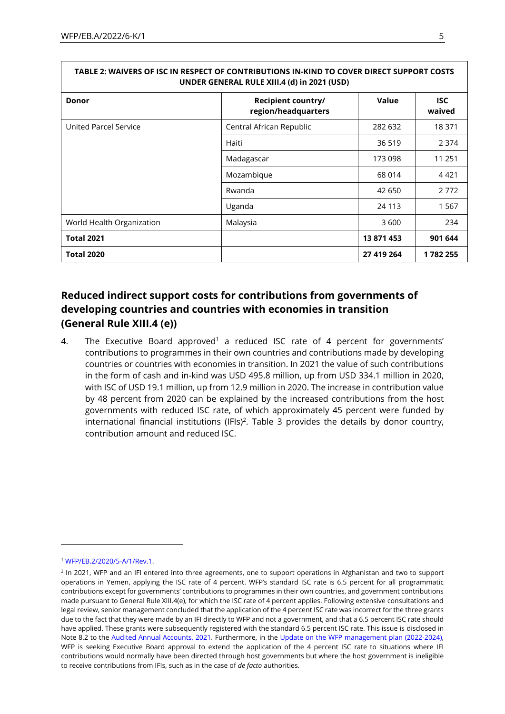| UNDER GENERAL RULE XIII.4 (d) in 2021 (USD) |                                           |            |                      |
|---------------------------------------------|-------------------------------------------|------------|----------------------|
| <b>Donor</b>                                | Recipient country/<br>region/headquarters | Value      | <b>ISC</b><br>waived |
| United Parcel Service                       | Central African Republic                  | 282 632    | 18 371               |
|                                             | Haiti                                     | 36 519     | 2 3 7 4              |
|                                             | Madagascar                                | 173 098    | 11 251               |
|                                             | Mozambique                                | 68 014     | 4421                 |
|                                             | Rwanda                                    | 42 650     | 2772                 |
|                                             | Uganda                                    | 24 1 13    | 1567                 |
| World Health Organization                   | Malaysia                                  | 3 600      | 234                  |
| <b>Total 2021</b>                           |                                           | 13 871 453 | 901 644              |
| <b>Total 2020</b>                           |                                           | 27 419 264 | 1782255              |

### **TABLE 2: WAIVERS OF ISC IN RESPECT OF CONTRIBUTIONS IN-KIND TO COVER DIRECT SUPPORT COSTS**

#### **Reduced indirect support costs for contributions from governments of developing countries and countries with economies in transition (General Rule XIII.4 (e))**

4. The Executive Board approved<sup>1</sup> a reduced ISC rate of 4 percent for governments' contributions to programmes in their own countries and contributions made by developing countries or countries with economies in transition. In 2021 the value of such contributions in the form of cash and in-kind was USD 495.8 million, up from USD 334.1 million in 2020, with ISC of USD 19.1 million, up from 12.9 million in 2020. The increase in contribution value by 48 percent from 2020 can be explained by the increased contributions from the host governments with reduced ISC rate, of which approximately 45 percent were funded by international financial institutions (IFIs)<sup>2</sup>. Table 3 provides the details by donor country, contribution amount and reduced ISC.

<sup>1</sup> [WFP/EB.2/2020/5-A/1/Rev.1.](https://executiveboard.wfp.org/document_download/WFP-0000119403)

<sup>&</sup>lt;sup>2</sup> In 2021, WFP and an IFI entered into three agreements, one to support operations in Afghanistan and two to support operations in Yemen, applying the ISC rate of 4 percent. WFP's standard ISC rate is 6.5 percent for all programmatic contributions except for governments' contributions to programmes in their own countries, and government contributions made pursuant to General Rule XIII.4(e), for which the ISC rate of 4 percent applies. Following extensive consultations and legal review, senior management concluded that the application of the 4 percent ISC rate was incorrect for the three grants due to the fact that they were made by an IFI directly to WFP and not a government, and that a 6.5 percent ISC rate should have applied. These grants were subsequently registered with the standard 6.5 percent ISC rate. This issue is disclosed in Note 8.2 to the [Audited Annual Accounts, 2021.](https://executiveboard.wfp.org/document_download/WFP-0000138187) Furthermore, in the [Update on the WFP management plan \(2022-2024\),](https://executiveboard.wfp.org/document_download/WFP-0000138971)  WFP is seeking Executive Board approval to extend the application of the 4 percent ISC rate to situations where IFI contributions would normally have been directed through host governments but where the host government is ineligible to receive contributions from IFIs, such as in the case of *de facto* authorities.